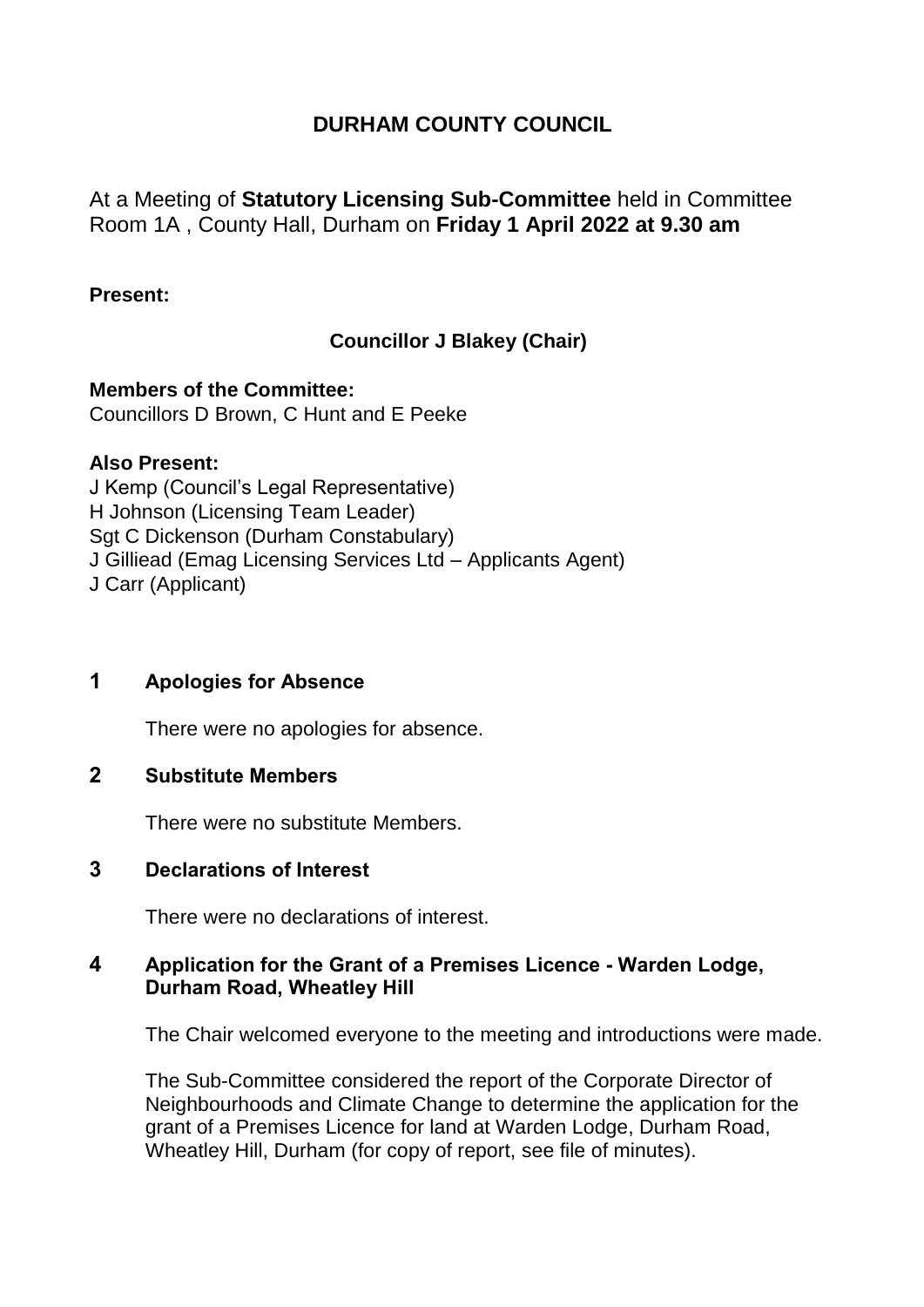# **DURHAM COUNTY COUNCIL**

At a Meeting of **Statutory Licensing Sub-Committee** held in Committee Room 1A , County Hall, Durham on **Friday 1 April 2022 at 9.30 am**

#### **Present:**

# **Councillor J Blakey (Chair)**

**Members of the Committee:** Councillors D Brown, C Hunt and E Peeke

#### **Also Present:**

J Kemp (Council's Legal Representative) H Johnson (Licensing Team Leader) Sgt C Dickenson (Durham Constabulary) J Gilliead (Emag Licensing Services Ltd – Applicants Agent) J Carr (Applicant)

## **1 Apologies for Absence**

There were no apologies for absence.

# **2 Substitute Members**

There were no substitute Members.

### **3 Declarations of Interest**

There were no declarations of interest.

### **4 Application for the Grant of a Premises Licence - Warden Lodge, Durham Road, Wheatley Hill**

The Chair welcomed everyone to the meeting and introductions were made.

The Sub-Committee considered the report of the Corporate Director of Neighbourhoods and Climate Change to determine the application for the grant of a Premises Licence for land at Warden Lodge, Durham Road, Wheatley Hill, Durham (for copy of report, see file of minutes).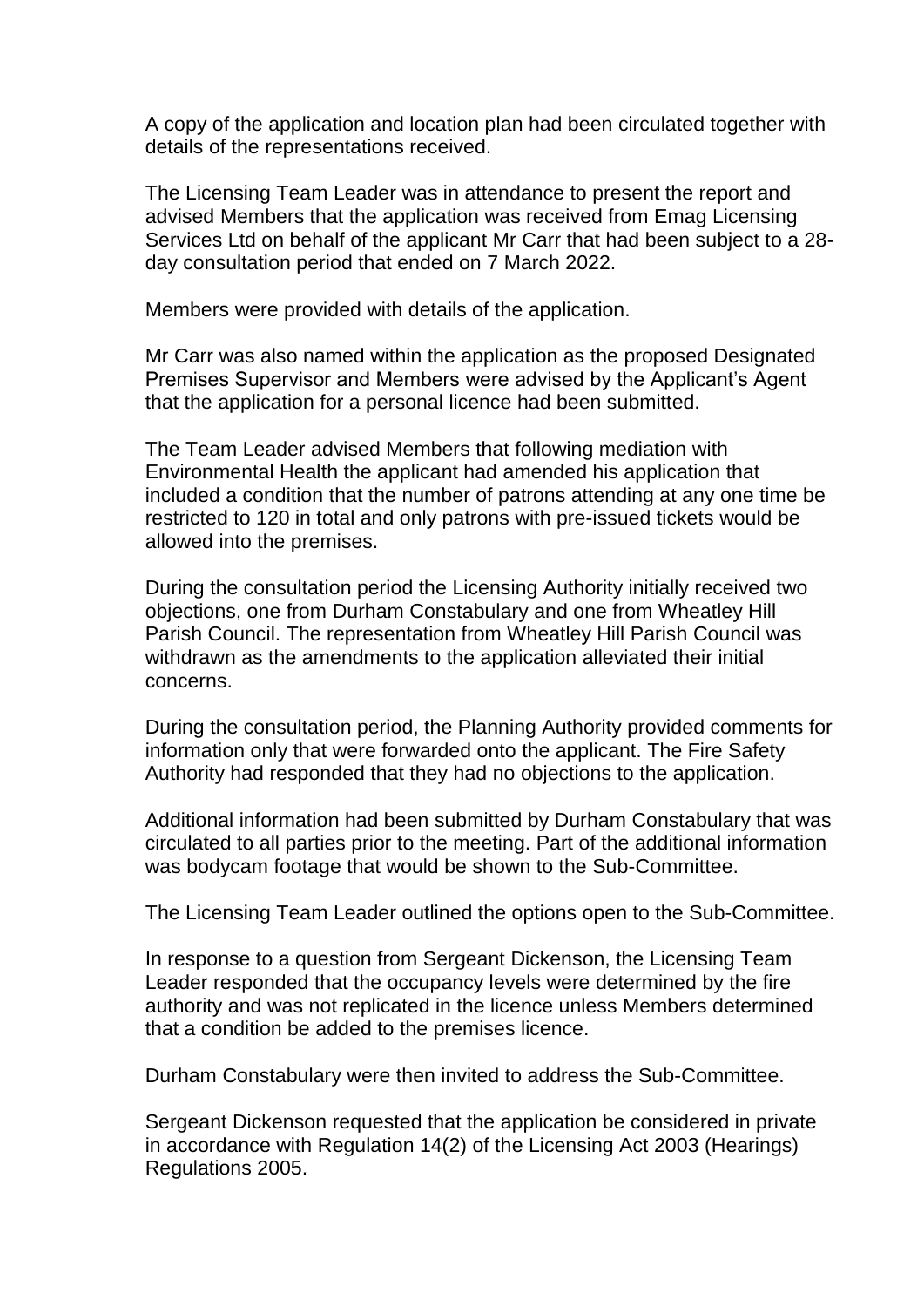A copy of the application and location plan had been circulated together with details of the representations received.

The Licensing Team Leader was in attendance to present the report and advised Members that the application was received from Emag Licensing Services Ltd on behalf of the applicant Mr Carr that had been subject to a 28 day consultation period that ended on 7 March 2022.

Members were provided with details of the application.

Mr Carr was also named within the application as the proposed Designated Premises Supervisor and Members were advised by the Applicant's Agent that the application for a personal licence had been submitted.

The Team Leader advised Members that following mediation with Environmental Health the applicant had amended his application that included a condition that the number of patrons attending at any one time be restricted to 120 in total and only patrons with pre-issued tickets would be allowed into the premises.

During the consultation period the Licensing Authority initially received two objections, one from Durham Constabulary and one from Wheatley Hill Parish Council. The representation from Wheatley Hill Parish Council was withdrawn as the amendments to the application alleviated their initial concerns.

During the consultation period, the Planning Authority provided comments for information only that were forwarded onto the applicant. The Fire Safety Authority had responded that they had no objections to the application.

Additional information had been submitted by Durham Constabulary that was circulated to all parties prior to the meeting. Part of the additional information was bodycam footage that would be shown to the Sub-Committee.

The Licensing Team Leader outlined the options open to the Sub-Committee.

In response to a question from Sergeant Dickenson, the Licensing Team Leader responded that the occupancy levels were determined by the fire authority and was not replicated in the licence unless Members determined that a condition be added to the premises licence.

Durham Constabulary were then invited to address the Sub-Committee.

Sergeant Dickenson requested that the application be considered in private in accordance with Regulation 14(2) of the Licensing Act 2003 (Hearings) Regulations 2005.